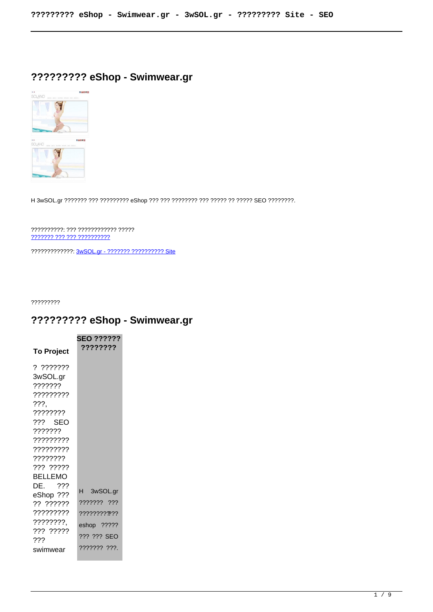## ????????? eShop - Swimwear.gr



H 3wSOL.gr ??????? ??? ????????? eShop ??? ??? ???????? ??? ????? ?? ????? SEO ?????????.

## ?????????? ??? ???????????? ????? 2222222 222 222 2222222222

????????????? 3wSOL.ar - ??????? ?????????? Site

?????????

## ????????? eShop - Swimwear.gr

|                                                                                                                                                                                                      | SEO ??????                                |
|------------------------------------------------------------------------------------------------------------------------------------------------------------------------------------------------------|-------------------------------------------|
| <b>To Project</b>                                                                                                                                                                                    | ????????                                  |
| ? ???????<br>3wSOL.gr<br>7777777<br>?????????<br>$???$ ,<br>????????<br>??? SEO<br>???????<br>?????????<br>777777777<br>????????<br>??? ?????<br><b>BELLEMO</b><br>DE. ???<br>eShop ???<br>?? ?????? | H 3wSOL.gr<br>??????? ???                 |
| ?????????<br>????????,<br>777 77777<br>777                                                                                                                                                           | ???????????<br>eshop ?????<br>??? ??? SEO |
| swimwear                                                                                                                                                                                             | ??????? ???.                              |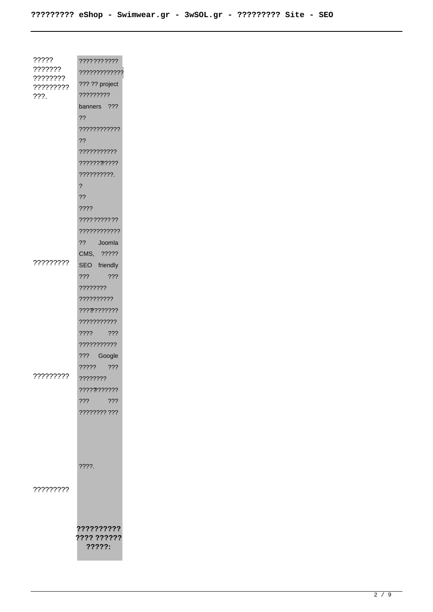| ?????     | ???????????    |
|-----------|----------------|
| ???????   | ?????????????  |
| ????????  | ??? ?? project |
| ????????? | ?????????      |
| ???.      |                |
|           | banners ???    |
|           | ??             |
|           | ????????????   |
|           | ??             |
|           | ???????????    |
|           | ????????????   |
|           | ??????????.    |
|           | ?              |
|           | ??             |
|           | ????           |
|           | ???????????    |
|           | ????????????   |
|           | ??<br>Joomla   |
|           | CMS, ?????     |
| ????????? | SEO friendly   |
|           | ???<br>???     |
|           | ????????       |
|           | ??????????     |
|           |                |
|           | ???????????    |
|           | ???????????    |
|           | ????<br>???    |
|           | ???????????    |
|           | ???<br>Google  |
| ????????? | ????? ???      |
|           | ????????       |
|           | ????????????   |
|           | ???<br>???     |
|           | ???????? ???   |
|           |                |
|           |                |
|           |                |
|           |                |
|           | $??\,?\,$      |
|           |                |
| ????????? |                |
|           |                |
|           |                |
|           | ??????????     |
|           | ???? ??????    |
|           | ?????:         |
|           |                |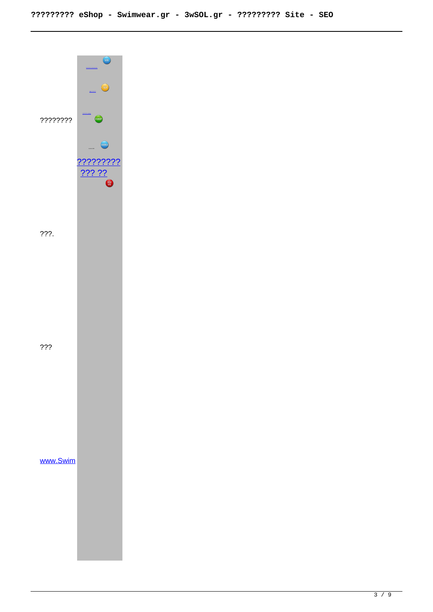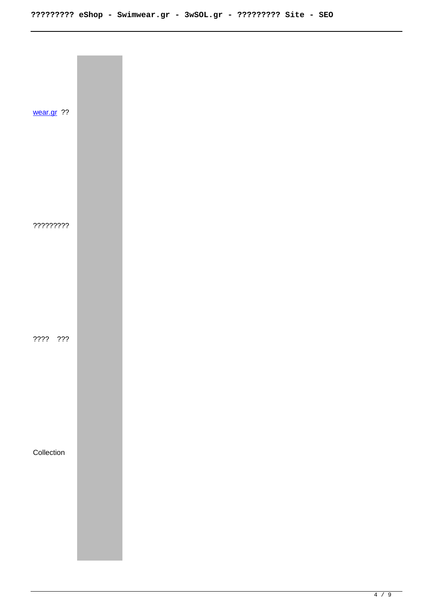| wear.gr ?? |  |  |  |
|------------|--|--|--|
| ?????????  |  |  |  |
| ???? ???   |  |  |  |
| Collection |  |  |  |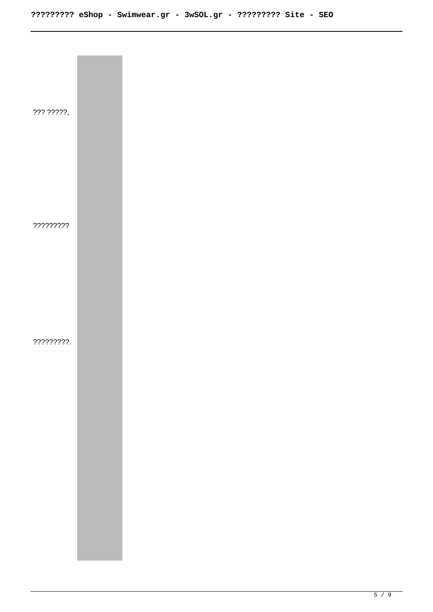??? ?????, ????????? ?????????.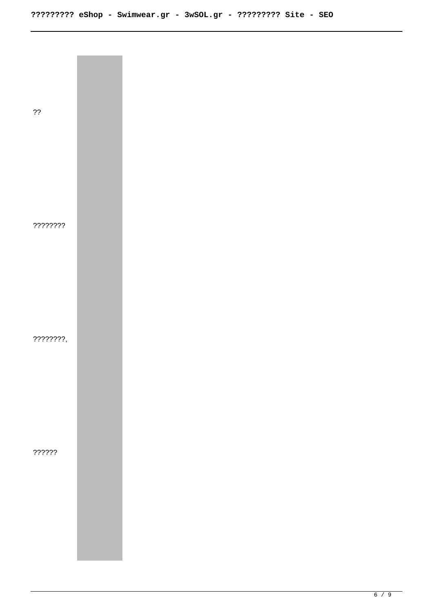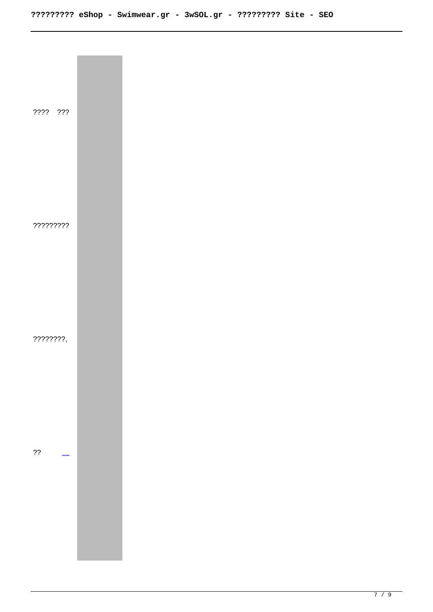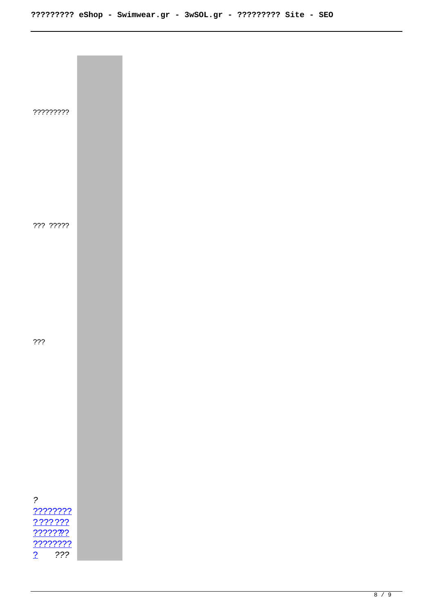